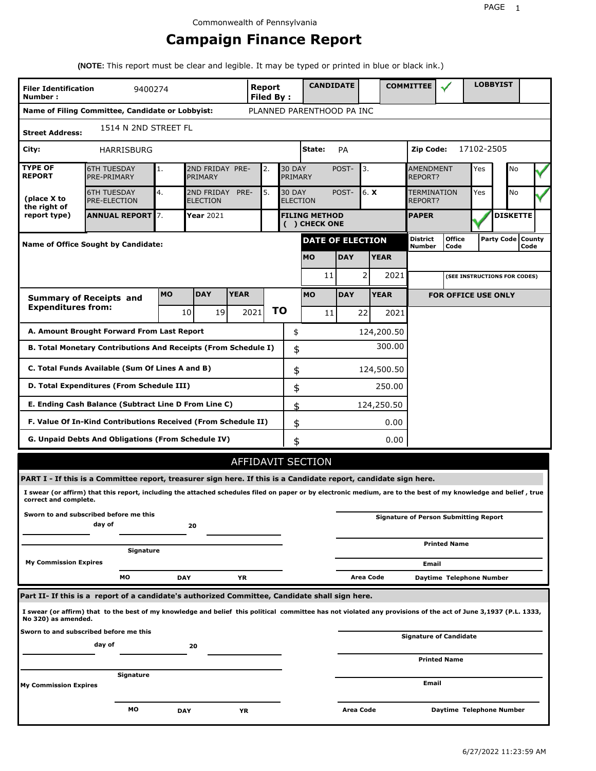# **Campaign Finance Report**

**(NOTE:** This report must be clear and legible. It may be typed or printed in blue or black ink.)

| <b>Filer Identification</b><br>Number:                    | 9400274                                                                                                                                                         |           |                               |                                       | Report<br><b>Filed By:</b> |    |                          | <b>CANDIDATE</b>          |               |              |             | <b>COMMITTEE</b>                   |                                              |            | <b>LOBBYIST</b>              |                             |  |
|-----------------------------------------------------------|-----------------------------------------------------------------------------------------------------------------------------------------------------------------|-----------|-------------------------------|---------------------------------------|----------------------------|----|--------------------------|---------------------------|---------------|--------------|-------------|------------------------------------|----------------------------------------------|------------|------------------------------|-----------------------------|--|
|                                                           | Name of Filing Committee, Candidate or Lobbyist:                                                                                                                |           |                               |                                       |                            |    |                          | PLANNED PARENTHOOD PA INC |               |              |             |                                    |                                              |            |                              |                             |  |
| <b>Street Address:</b>                                    | 1514 N 2ND STREET FL                                                                                                                                            |           |                               |                                       |                            |    |                          |                           |               |              |             |                                    |                                              |            |                              |                             |  |
| City:                                                     | <b>HARRISBURG</b>                                                                                                                                               |           |                               |                                       |                            |    |                          | State:                    | PA            |              |             | Zip Code:                          |                                              | 17102-2505 |                              |                             |  |
| <b>TYPE OF</b><br><b>REPORT</b>                           | <b>6TH TUESDAY</b><br>PRE-PRIMARY                                                                                                                               | 1.        | 2ND FRIDAY PRE-<br>PRIMARY    |                                       | 2.                         |    | <b>30 DAY</b><br>PRIMARY |                           | 3.<br>POST-   |              |             | <b>AMENDMENT</b><br><b>REPORT?</b> |                                              | Yes        | No                           |                             |  |
| (place X to<br>the right of                               | <b>6TH TUESDAY</b><br><b>PRE-ELECTION</b>                                                                                                                       | 4.        | 2ND FRIDAY<br><b>ELECTION</b> | PRE-                                  | 5.                         |    | <b>30 DAY</b>            | <b>ELECTION</b>           | 6. X<br>POST- |              |             | TERMINATION<br>REPORT?             |                                              | Yes        | <b>No</b>                    |                             |  |
| report type)                                              | <b>ANNUAL REPORT 7.</b>                                                                                                                                         |           | <b>Year 2021</b>              | <b>FILING METHOD</b><br>( ) CHECK ONE |                            |    |                          |                           |               | <b>PAPER</b> |             |                                    | <b>DISKETTE</b>                              |            |                              |                             |  |
|                                                           | <b>Name of Office Sought by Candidate:</b>                                                                                                                      |           |                               |                                       |                            |    |                          | <b>DATE OF ELECTION</b>   |               |              |             | District<br>Number                 | <b>Office</b><br>Code                        |            |                              | Party Code   County<br>Code |  |
|                                                           |                                                                                                                                                                 |           |                               |                                       |                            |    |                          | <b>MO</b>                 | <b>DAY</b>    |              | <b>YEAR</b> |                                    |                                              |            |                              |                             |  |
|                                                           |                                                                                                                                                                 |           |                               |                                       |                            |    |                          | 11                        |               | 2            | 2021        |                                    |                                              |            | (SEE INSTRUCTIONS FOR CODES) |                             |  |
|                                                           | <b>Summary of Receipts and</b>                                                                                                                                  | <b>MO</b> | <b>DAY</b>                    | <b>YEAR</b>                           |                            |    |                          | <b>MO</b>                 | <b>DAY</b>    |              | <b>YEAR</b> |                                    | <b>FOR OFFICE USE ONLY</b>                   |            |                              |                             |  |
| <b>Expenditures from:</b>                                 |                                                                                                                                                                 |           | 10<br>19 I                    |                                       | 2021                       | ΤO |                          | 11                        |               | 22           | 2021        |                                    |                                              |            |                              |                             |  |
|                                                           | A. Amount Brought Forward From Last Report                                                                                                                      |           |                               |                                       |                            |    | \$                       |                           |               |              | 124,200.50  |                                    |                                              |            |                              |                             |  |
|                                                           | B. Total Monetary Contributions And Receipts (From Schedule I)                                                                                                  |           |                               |                                       |                            |    | \$                       |                           |               |              | 300.00      |                                    |                                              |            |                              |                             |  |
|                                                           | C. Total Funds Available (Sum Of Lines A and B)                                                                                                                 |           |                               |                                       |                            |    | \$                       |                           |               |              | 124,500.50  |                                    |                                              |            |                              |                             |  |
| D. Total Expenditures (From Schedule III)<br>250.00<br>\$ |                                                                                                                                                                 |           |                               |                                       |                            |    |                          |                           |               |              |             |                                    |                                              |            |                              |                             |  |
|                                                           | E. Ending Cash Balance (Subtract Line D From Line C)                                                                                                            |           |                               |                                       |                            |    | \$                       |                           |               |              | 124,250.50  |                                    |                                              |            |                              |                             |  |
|                                                           | F. Value Of In-Kind Contributions Received (From Schedule II)                                                                                                   |           |                               |                                       |                            |    | \$                       |                           |               |              | 0.00        |                                    |                                              |            |                              |                             |  |
|                                                           | G. Unpaid Debts And Obligations (From Schedule IV)                                                                                                              |           |                               |                                       |                            |    | \$                       |                           |               |              | 0.00        |                                    |                                              |            |                              |                             |  |
|                                                           |                                                                                                                                                                 |           |                               |                                       |                            |    |                          | AFFIDAVIT SECTION         |               |              |             |                                    |                                              |            |                              |                             |  |
|                                                           | PART I - If this is a Committee report, treasurer sign here. If this is a Candidate report, candidate sign here.                                                |           |                               |                                       |                            |    |                          |                           |               |              |             |                                    |                                              |            |                              |                             |  |
| correct and complete.                                     | I swear (or affirm) that this report, including the attached schedules filed on paper or by electronic medium, are to the best of my knowledge and belief, true |           |                               |                                       |                            |    |                          |                           |               |              |             |                                    |                                              |            |                              |                             |  |
|                                                           | Sworn to and subscribed before me this<br>day of                                                                                                                |           | 20                            |                                       |                            |    |                          |                           |               |              |             |                                    | <b>Signature of Person Submitting Report</b> |            |                              |                             |  |
|                                                           | Signature                                                                                                                                                       |           |                               |                                       |                            |    |                          |                           |               |              |             |                                    | <b>Printed Name</b>                          |            |                              |                             |  |
| <b>My Commission Expires</b>                              |                                                                                                                                                                 |           |                               |                                       |                            |    |                          |                           |               |              |             | Email                              |                                              |            |                              |                             |  |
|                                                           | МO                                                                                                                                                              |           | <b>DAY</b>                    | ΥR                                    |                            |    |                          |                           |               | Area Code    |             |                                    | Daytime Telephone Number                     |            |                              |                             |  |
|                                                           | Part II- If this is a report of a candidate's authorized Committee, Candidate shall sign here.                                                                  |           |                               |                                       |                            |    |                          |                           |               |              |             |                                    |                                              |            |                              |                             |  |
| No 320) as amended.                                       | I swear (or affirm) that to the best of my knowledge and belief this political committee has not violated any provisions of the act of June 3,1937 (P.L. 1333,  |           |                               |                                       |                            |    |                          |                           |               |              |             |                                    |                                              |            |                              |                             |  |
|                                                           | Sworn to and subscribed before me this<br>day of                                                                                                                |           | 20                            |                                       |                            |    |                          |                           |               |              |             |                                    | <b>Signature of Candidate</b>                |            |                              |                             |  |
|                                                           |                                                                                                                                                                 |           |                               |                                       |                            |    |                          |                           |               |              |             |                                    | <b>Printed Name</b>                          |            |                              |                             |  |
| <b>My Commission Expires</b>                              | Signature                                                                                                                                                       |           |                               |                                       |                            |    |                          |                           |               |              |             | Email                              |                                              |            |                              |                             |  |
|                                                           | мо                                                                                                                                                              |           | <b>DAY</b>                    | ΥR                                    |                            |    |                          |                           | Area Code     |              |             |                                    | Daytime Telephone Number                     |            |                              |                             |  |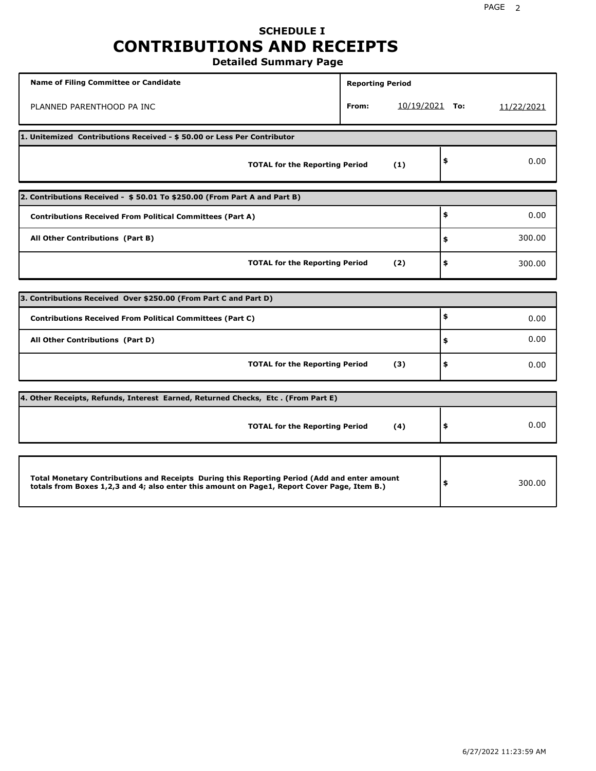# **SCHEDULE I CONTRIBUTIONS AND RECEIPTS**

**Detailed Summary Page**

| <b>Name of Filing Committee or Candidate</b>                                                                                                                                                | <b>Reporting Period</b> |                  |              |
|---------------------------------------------------------------------------------------------------------------------------------------------------------------------------------------------|-------------------------|------------------|--------------|
| PLANNED PARENTHOOD PA INC                                                                                                                                                                   | From:                   | $10/19/2021$ To: | 11/22/2021   |
| 1. Unitemized Contributions Received - \$50.00 or Less Per Contributor                                                                                                                      |                         |                  |              |
| <b>TOTAL for the Reporting Period</b>                                                                                                                                                       |                         | (1)              | \$<br>0.00   |
| 2. Contributions Received - \$50.01 To \$250.00 (From Part A and Part B)                                                                                                                    |                         |                  |              |
| <b>Contributions Received From Political Committees (Part A)</b>                                                                                                                            |                         |                  | \$<br>0.00   |
| All Other Contributions (Part B)                                                                                                                                                            |                         |                  | \$<br>300.00 |
| <b>TOTAL for the Reporting Period</b>                                                                                                                                                       | \$<br>300.00            |                  |              |
|                                                                                                                                                                                             |                         |                  |              |
| 3. Contributions Received Over \$250.00 (From Part C and Part D)                                                                                                                            |                         |                  | \$           |
| <b>Contributions Received From Political Committees (Part C)</b>                                                                                                                            |                         |                  | 0.00         |
| All Other Contributions (Part D)                                                                                                                                                            |                         |                  | \$<br>0.00   |
| <b>TOTAL for the Reporting Period</b>                                                                                                                                                       |                         | (3)              | \$<br>0.00   |
| 4. Other Receipts, Refunds, Interest Earned, Returned Checks, Etc. (From Part E)                                                                                                            |                         |                  |              |
| <b>TOTAL for the Reporting Period</b>                                                                                                                                                       |                         | (4)              | \$<br>0.00   |
|                                                                                                                                                                                             |                         |                  |              |
| Total Monetary Contributions and Receipts During this Reporting Period (Add and enter amount<br>totals from Boxes 1,2,3 and 4; also enter this amount on Page1, Report Cover Page, Item B.) |                         |                  | \$<br>300.00 |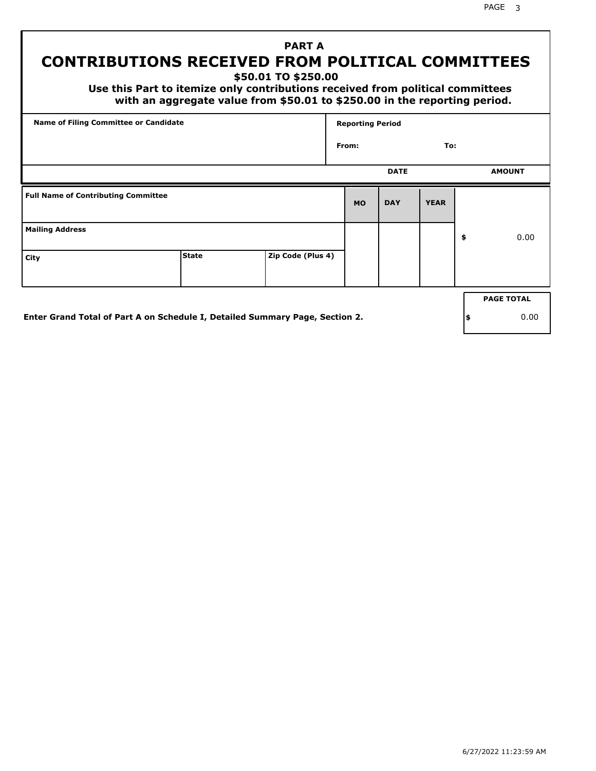# **CONTRIBUTIONS RECEIVED FROM POLITICAL COMMITTEES**

**\$50.01 TO \$250.00**

 **Use this Part to itemize only contributions received from political committees with an aggregate value from \$50.01 to \$250.00 in the reporting period.**

 **PART A**

| Name of Filing Committee or Candidate      |              |                   | <b>Reporting Period</b> |             |             |                   |
|--------------------------------------------|--------------|-------------------|-------------------------|-------------|-------------|-------------------|
|                                            |              |                   | From:                   |             | To:         |                   |
|                                            |              |                   |                         | <b>DATE</b> |             | <b>AMOUNT</b>     |
| <b>Full Name of Contributing Committee</b> |              |                   | <b>MO</b>               | <b>DAY</b>  | <b>YEAR</b> |                   |
| <b>Mailing Address</b>                     |              |                   |                         |             |             | \$<br>0.00        |
| City                                       | <b>State</b> | Zip Code (Plus 4) |                         |             |             |                   |
|                                            |              |                   |                         |             |             | <b>PAGE TOTAL</b> |
|                                            |              |                   |                         |             |             |                   |

**Enter Grand Total of Part A on Schedule I, Detailed Summary Page, Section 2.**

**\$** 0.00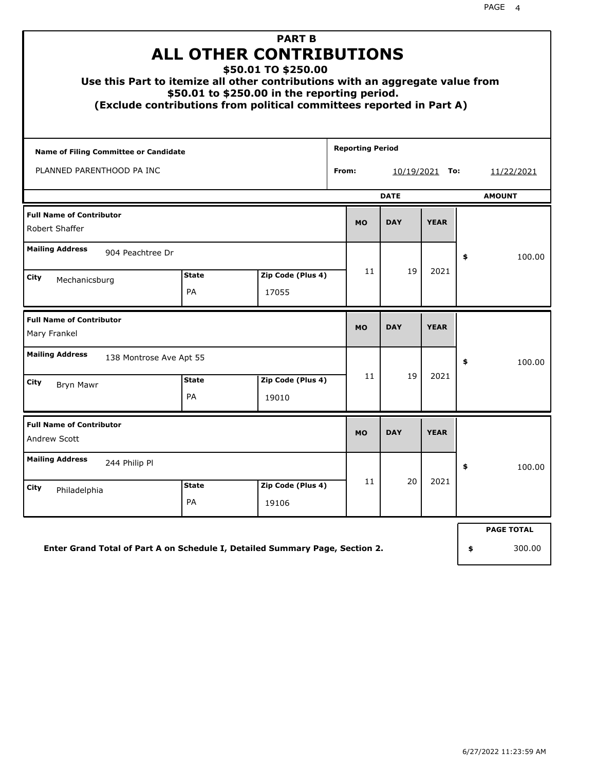| Use this Part to itemize all other contributions with an aggregate value from<br>(Exclude contributions from political committees reported in Part A) | <b>ALL OTHER CONTRIBUTIONS</b><br>\$50.01 to \$250.00 in the reporting period. | <b>PART B</b><br>\$50.01 TO \$250.00 |  |                         |            |             |                   |
|-------------------------------------------------------------------------------------------------------------------------------------------------------|--------------------------------------------------------------------------------|--------------------------------------|--|-------------------------|------------|-------------|-------------------|
| <b>Name of Filing Committee or Candidate</b>                                                                                                          |                                                                                |                                      |  | <b>Reporting Period</b> |            |             |                   |
| PLANNED PARENTHOOD PA INC<br>From:<br>$10/19/2021$ To:                                                                                                |                                                                                |                                      |  |                         |            |             | 11/22/2021        |
|                                                                                                                                                       |                                                                                | <b>DATE</b>                          |  | <b>AMOUNT</b>           |            |             |                   |
| <b>Full Name of Contributor</b><br>Robert Shaffer                                                                                                     |                                                                                |                                      |  | <b>MO</b>               | <b>DAY</b> | <b>YEAR</b> |                   |
| <b>Mailing Address</b><br>904 Peachtree Dr                                                                                                            |                                                                                |                                      |  |                         | 19         |             | \$<br>100.00      |
| City<br>Mechanicsburg                                                                                                                                 | Zip Code (Plus 4)<br><b>State</b><br><b>PA</b><br>17055                        |                                      |  | 11                      |            | 2021        |                   |
| <b>Full Name of Contributor</b><br>Mary Frankel                                                                                                       |                                                                                |                                      |  | <b>MO</b>               | <b>DAY</b> | <b>YEAR</b> |                   |
| <b>Mailing Address</b><br>138 Montrose Ave Apt 55                                                                                                     |                                                                                |                                      |  |                         |            |             | \$<br>100.00      |
| City<br><b>Bryn Mawr</b>                                                                                                                              | <b>State</b><br><b>PA</b>                                                      | Zip Code (Plus 4)<br>19010           |  | 11                      | 19         | 2021        |                   |
| <b>Full Name of Contributor</b><br><b>Andrew Scott</b>                                                                                                |                                                                                |                                      |  | <b>MO</b>               | <b>DAY</b> | <b>YEAR</b> |                   |
| <b>Mailing Address</b><br>244 Philip Pl                                                                                                               |                                                                                |                                      |  |                         |            |             | \$<br>100.00      |
| City<br>Philadelphia                                                                                                                                  | <b>State</b><br>PA                                                             | Zip Code (Plus 4)<br>19106           |  | 11                      | 20         | 2021        |                   |
|                                                                                                                                                       |                                                                                |                                      |  |                         |            |             | <b>PAGE TOTAL</b> |
| Enter Grand Total of Part A on Schedule I, Detailed Summary Page, Section 2.                                                                          |                                                                                |                                      |  |                         |            |             | \$<br>300.00      |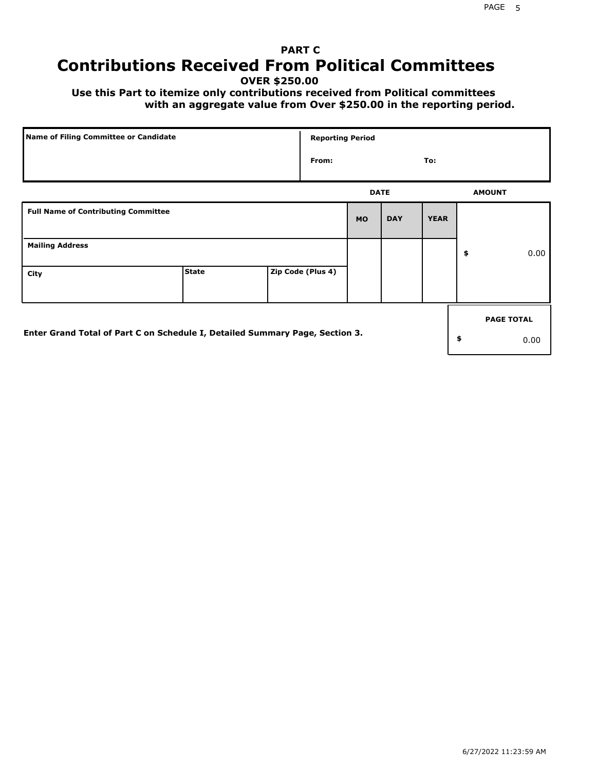# **PART C Contributions Received From Political Committees**

**OVER \$250.00**

 **Use this Part to itemize only contributions received from Political committees with an aggregate value from Over \$250.00 in the reporting period.**

| Name of Filing Committee or Candidate                                        |              |  | <b>Reporting Period</b> |           |             |             |                   |
|------------------------------------------------------------------------------|--------------|--|-------------------------|-----------|-------------|-------------|-------------------|
|                                                                              |              |  | From:                   |           |             | To:         |                   |
|                                                                              |              |  |                         |           | <b>DATE</b> |             | <b>AMOUNT</b>     |
| <b>Full Name of Contributing Committee</b>                                   |              |  |                         | <b>MO</b> | <b>DAY</b>  | <b>YEAR</b> |                   |
| <b>Mailing Address</b>                                                       |              |  |                         |           |             |             | \$<br>0.00        |
| City                                                                         | <b>State</b> |  | Zip Code (Plus 4)       |           |             |             |                   |
|                                                                              |              |  |                         |           |             |             | <b>PAGE TOTAL</b> |
| Enter Grand Total of Part C on Schedule I, Detailed Summary Page, Section 3. |              |  |                         |           |             |             | \$<br>0.00        |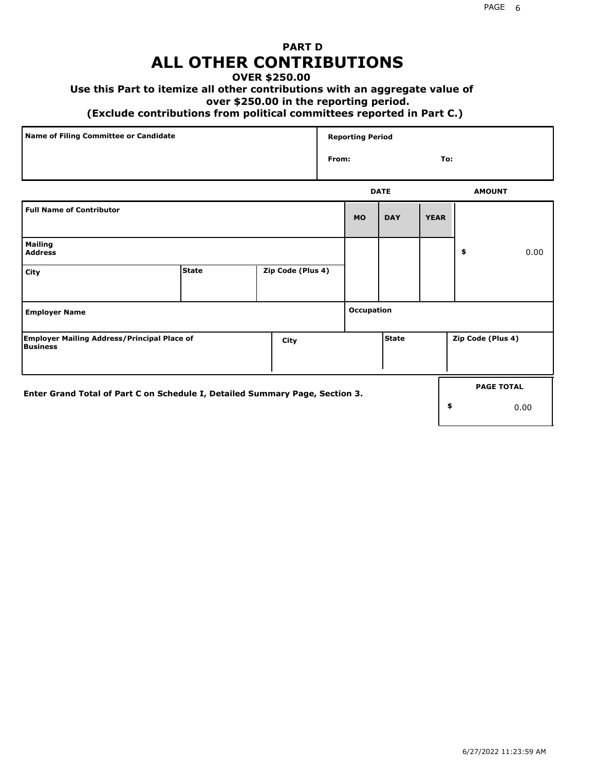## **PART D ALL OTHER CONTRIBUTIONS**

#### **OVER \$250.00**

#### **Use this Part to itemize all other contributions with an aggregate value of**

#### **over \$250.00 in the reporting period.**

#### **(Exclude contributions from political committees reported in Part C.)**

| Name of Filing Committee or Candidate | <b>Reporting Period</b> |               |
|---------------------------------------|-------------------------|---------------|
|                                       | From:                   | To:           |
|                                       | <b>DATE</b>             | <b>AMOUNT</b> |

|                                                                              |       |                   |            | ----         |             |                   | <b>APPOVITE</b>   |
|------------------------------------------------------------------------------|-------|-------------------|------------|--------------|-------------|-------------------|-------------------|
| <b>Full Name of Contributor</b>                                              |       |                   | <b>MO</b>  | <b>DAY</b>   | <b>YEAR</b> |                   |                   |
| <b>Mailing</b><br><b>Address</b>                                             |       |                   |            |              |             | \$                | 0.00              |
| City                                                                         | State | Zip Code (Plus 4) |            |              |             |                   |                   |
| <b>Employer Name</b>                                                         |       |                   | Occupation |              |             |                   |                   |
| <b>Employer Mailing Address/Principal Place of</b><br>Business               |       | City              |            | <b>State</b> |             | Zip Code (Plus 4) |                   |
| Enter Grand Total of Part C on Schedule I, Detailed Summary Page, Section 3. |       |                   |            |              |             | \$                | <b>PAGE TOTAL</b> |
|                                                                              |       |                   |            |              |             |                   | 0.00              |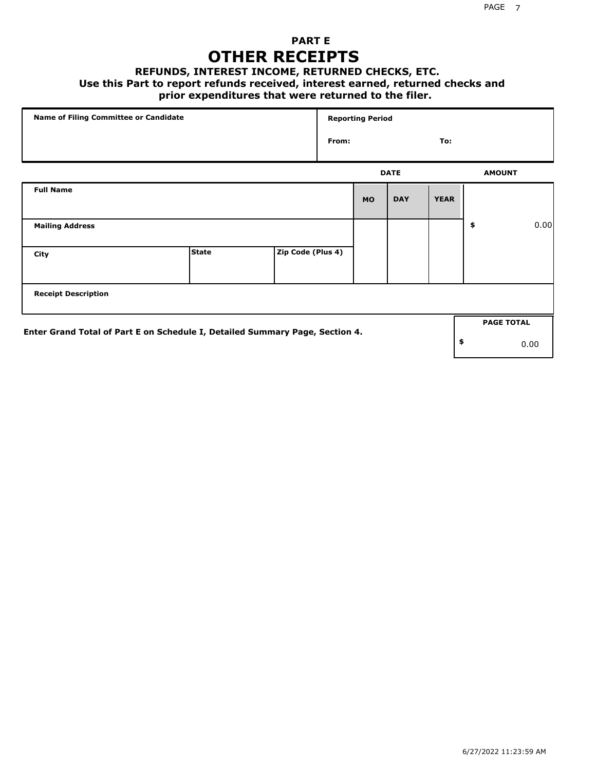#### **PART E OTHER RECEIPTS**

#### **REFUNDS, INTEREST INCOME, RETURNED CHECKS, ETC.**

 **Use this Part to report refunds received, interest earned, returned checks and**

#### **prior expenditures that were returned to the filer.**

| <b>Name of Filing Committee or Candidate</b>                                 |              |                   |     | <b>Reporting Period</b> |             |             |                   |      |
|------------------------------------------------------------------------------|--------------|-------------------|-----|-------------------------|-------------|-------------|-------------------|------|
|                                                                              |              |                   | To: |                         |             |             |                   |      |
|                                                                              |              |                   |     |                         | <b>DATE</b> |             | <b>AMOUNT</b>     |      |
| <b>Full Name</b>                                                             |              |                   |     | <b>MO</b>               | <b>DAY</b>  | <b>YEAR</b> |                   |      |
| <b>Mailing Address</b>                                                       |              |                   |     |                         |             |             | \$                | 0.00 |
| City                                                                         | <b>State</b> | Zip Code (Plus 4) |     |                         |             |             |                   |      |
| <b>Receipt Description</b>                                                   |              |                   |     |                         |             |             |                   |      |
| Enter Grand Total of Part E on Schedule I, Detailed Summary Page, Section 4. |              |                   |     |                         |             |             | <b>PAGE TOTAL</b> |      |
|                                                                              |              |                   |     |                         |             |             | \$                | 0.00 |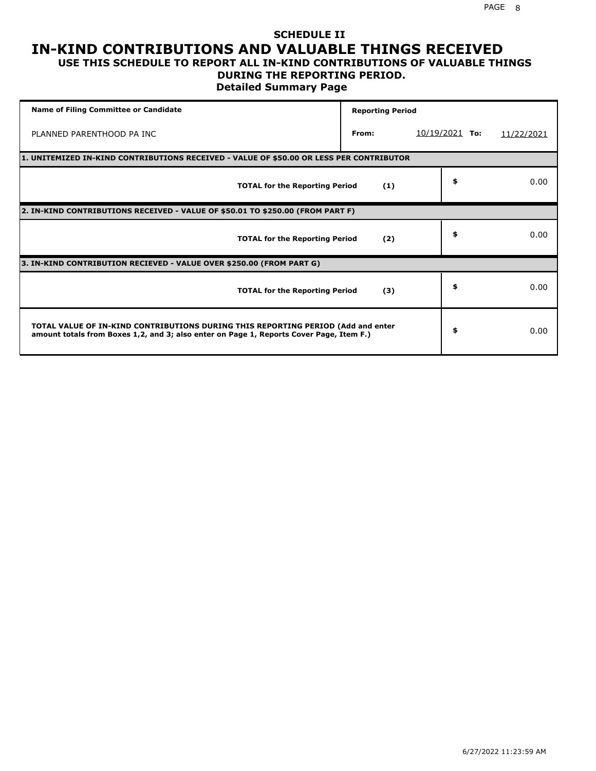#### **SCHEDULE II IN-KIND CONTRIBUTIONS AND VALUABLE THINGS RECEIVED USE THIS SCHEDULE TO REPORT ALL IN-KIND CONTRIBUTIONS OF VALUABLE THINGS**

#### **DURING THE REPORTING PERIOD.**

**Detailed Summary Page**

| <b>Name of Filing Committee or Candidate</b>                                                                                                                                | <b>Reporting Period</b> |                  |            |
|-----------------------------------------------------------------------------------------------------------------------------------------------------------------------------|-------------------------|------------------|------------|
| PLANNED PARENTHOOD PA INC                                                                                                                                                   | From:                   | $10/19/2021$ To: | 11/22/2021 |
| 1. UNITEMIZED IN-KIND CONTRIBUTIONS RECEIVED - VALUE OF \$50.00 OR LESS PER CONTRIBUTOR                                                                                     |                         |                  |            |
| <b>TOTAL for the Reporting Period</b>                                                                                                                                       | (1)                     | \$               | 0.00       |
| 2. IN-KIND CONTRIBUTIONS RECEIVED - VALUE OF \$50.01 TO \$250.00 (FROM PART F)                                                                                              |                         |                  |            |
| <b>TOTAL for the Reporting Period</b>                                                                                                                                       | (2)                     | \$               | 0.00       |
| 3. IN-KIND CONTRIBUTION RECIEVED - VALUE OVER \$250.00 (FROM PART G)                                                                                                        |                         |                  |            |
| <b>TOTAL for the Reporting Period</b>                                                                                                                                       | (3)                     | \$               | 0.00       |
| TOTAL VALUE OF IN-KIND CONTRIBUTIONS DURING THIS REPORTING PERIOD (Add and enter<br>amount totals from Boxes 1,2, and 3; also enter on Page 1, Reports Cover Page, Item F.) |                         | \$               | 0.00       |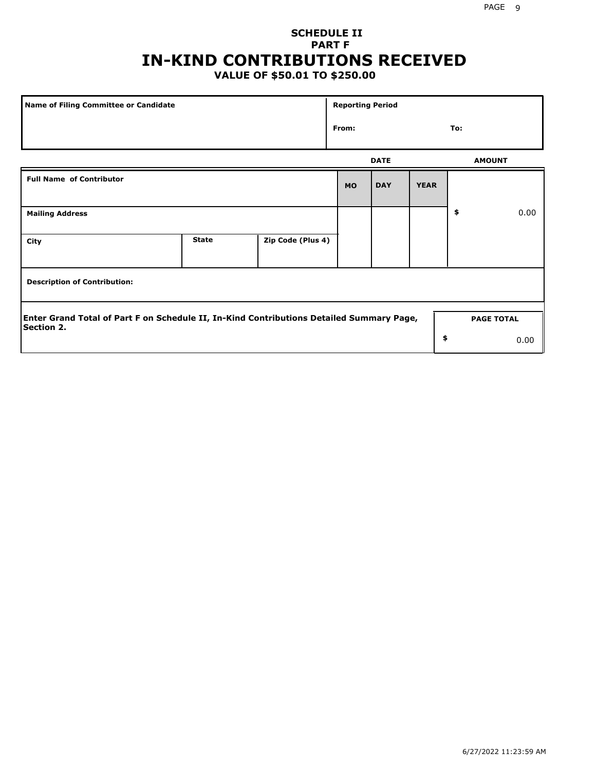# **SCHEDULE II PART F IN-KIND CONTRIBUTIONS RECEIVED**

### **VALUE OF \$50.01 TO \$250.00**

| Name of Filing Committee or Candidate                                                                         |              |                   |           | <b>Reporting Period</b> |             |                   |      |
|---------------------------------------------------------------------------------------------------------------|--------------|-------------------|-----------|-------------------------|-------------|-------------------|------|
|                                                                                                               | From:        |                   |           |                         |             |                   |      |
|                                                                                                               |              |                   |           | <b>DATE</b>             |             | <b>AMOUNT</b>     |      |
| <b>Full Name of Contributor</b>                                                                               |              |                   | <b>MO</b> | <b>DAY</b>              | <b>YEAR</b> |                   |      |
| <b>Mailing Address</b>                                                                                        |              |                   |           |                         |             | \$                | 0.00 |
| City                                                                                                          | <b>State</b> | Zip Code (Plus 4) |           |                         |             |                   |      |
| <b>Description of Contribution:</b>                                                                           |              |                   |           |                         |             |                   |      |
| Enter Grand Total of Part F on Schedule II, In-Kind Contributions Detailed Summary Page,<br><b>Section 2.</b> |              |                   |           |                         |             | <b>PAGE TOTAL</b> |      |
|                                                                                                               |              |                   |           |                         | \$          |                   | 0.00 |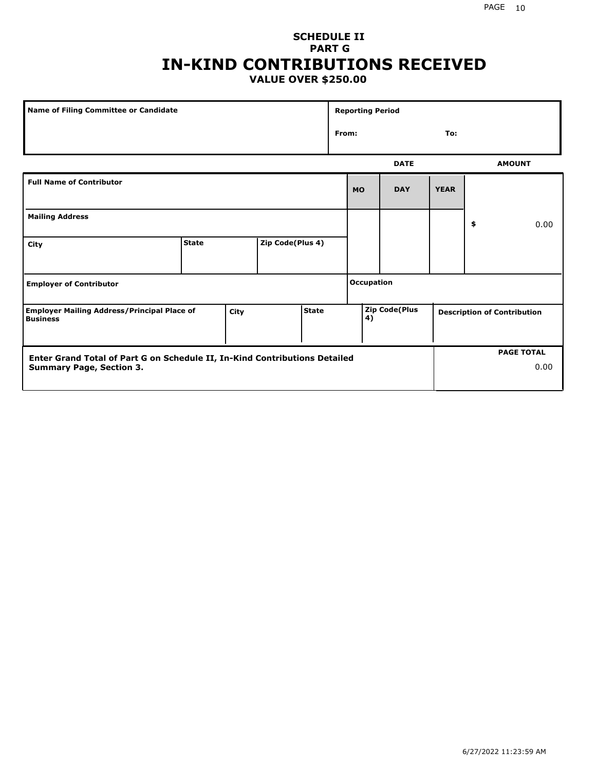#### **SCHEDULE II PART G IN-KIND CONTRIBUTIONS RECEIVED VALUE OVER \$250.00**

| Name of Filing Committee or Candidate                                         |              |  |                  |  |                   | <b>Reporting Period</b> |             |             |                                    |               |
|-------------------------------------------------------------------------------|--------------|--|------------------|--|-------------------|-------------------------|-------------|-------------|------------------------------------|---------------|
|                                                                               |              |  |                  |  |                   | From:<br>To:            |             |             |                                    |               |
|                                                                               |              |  |                  |  |                   |                         | <b>DATE</b> |             |                                    | <b>AMOUNT</b> |
| <b>Full Name of Contributor</b>                                               |              |  |                  |  |                   | <b>MO</b>               | <b>DAY</b>  | <b>YEAR</b> |                                    |               |
| <b>Mailing Address</b>                                                        |              |  |                  |  |                   |                         |             |             | \$                                 | 0.00          |
| City                                                                          | <b>State</b> |  | Zip Code(Plus 4) |  |                   |                         |             |             |                                    |               |
| <b>Employer of Contributor</b>                                                |              |  |                  |  | <b>Occupation</b> |                         |             |             |                                    |               |
| <b>Employer Mailing Address/Principal Place of</b><br>City<br><b>Business</b> |              |  | <b>State</b>     |  | 4)                | <b>Zip Code(Plus</b>    |             |             | <b>Description of Contribution</b> |               |

| <b>Enter Grand Total of Part G on Schedule II, In-Kind Contributions Detailed</b> |  | <b>PAGE TOTAL</b> |
|-----------------------------------------------------------------------------------|--|-------------------|
| <b>Summary Page, Section 3.</b>                                                   |  | 0.00              |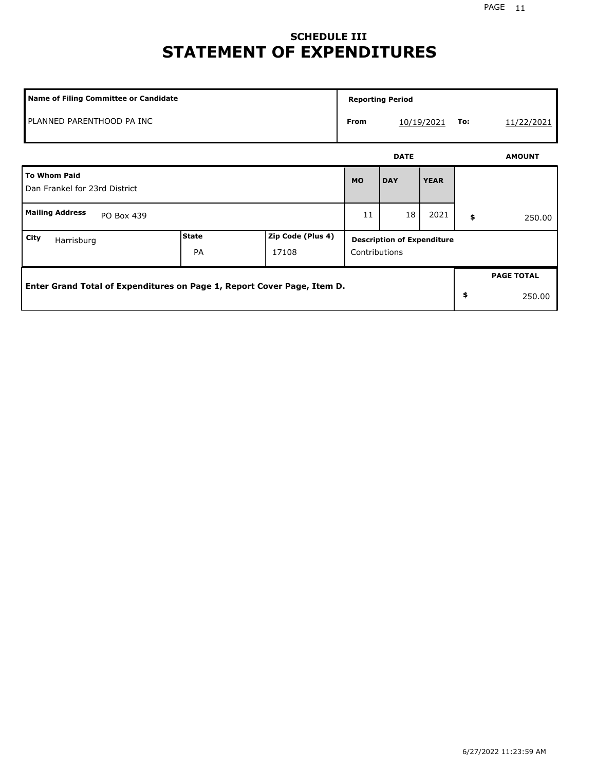# **SCHEDULE III STATEMENT OF EXPENDITURES**

| <b>Name of Filing Committee or Candidate</b>                            |                    |                            | <b>Reporting Period</b>                            |                   |             |    |                   |
|-------------------------------------------------------------------------|--------------------|----------------------------|----------------------------------------------------|-------------------|-------------|----|-------------------|
| PLANNED PARENTHOOD PA INC                                               |                    |                            | <b>From</b>                                        | To:<br>10/19/2021 |             |    | 11/22/2021        |
|                                                                         |                    |                            | <b>DATE</b>                                        |                   |             |    | <b>AMOUNT</b>     |
| <b>To Whom Paid</b><br>Dan Frankel for 23rd District                    |                    |                            | <b>MO</b>                                          | <b>DAY</b>        | <b>YEAR</b> |    |                   |
| <b>Mailing Address</b><br>PO Box 439                                    |                    |                            | 11                                                 | 18                | 2021        | \$ | 250.00            |
| City<br>Harrisburg                                                      | State<br><b>PA</b> | Zip Code (Plus 4)<br>17108 | <b>Description of Expenditure</b><br>Contributions |                   |             |    |                   |
| Enter Grand Total of Expenditures on Page 1, Report Cover Page, Item D. |                    |                            |                                                    |                   |             |    | <b>PAGE TOTAL</b> |
|                                                                         |                    |                            |                                                    |                   |             | \$ | 250.00            |